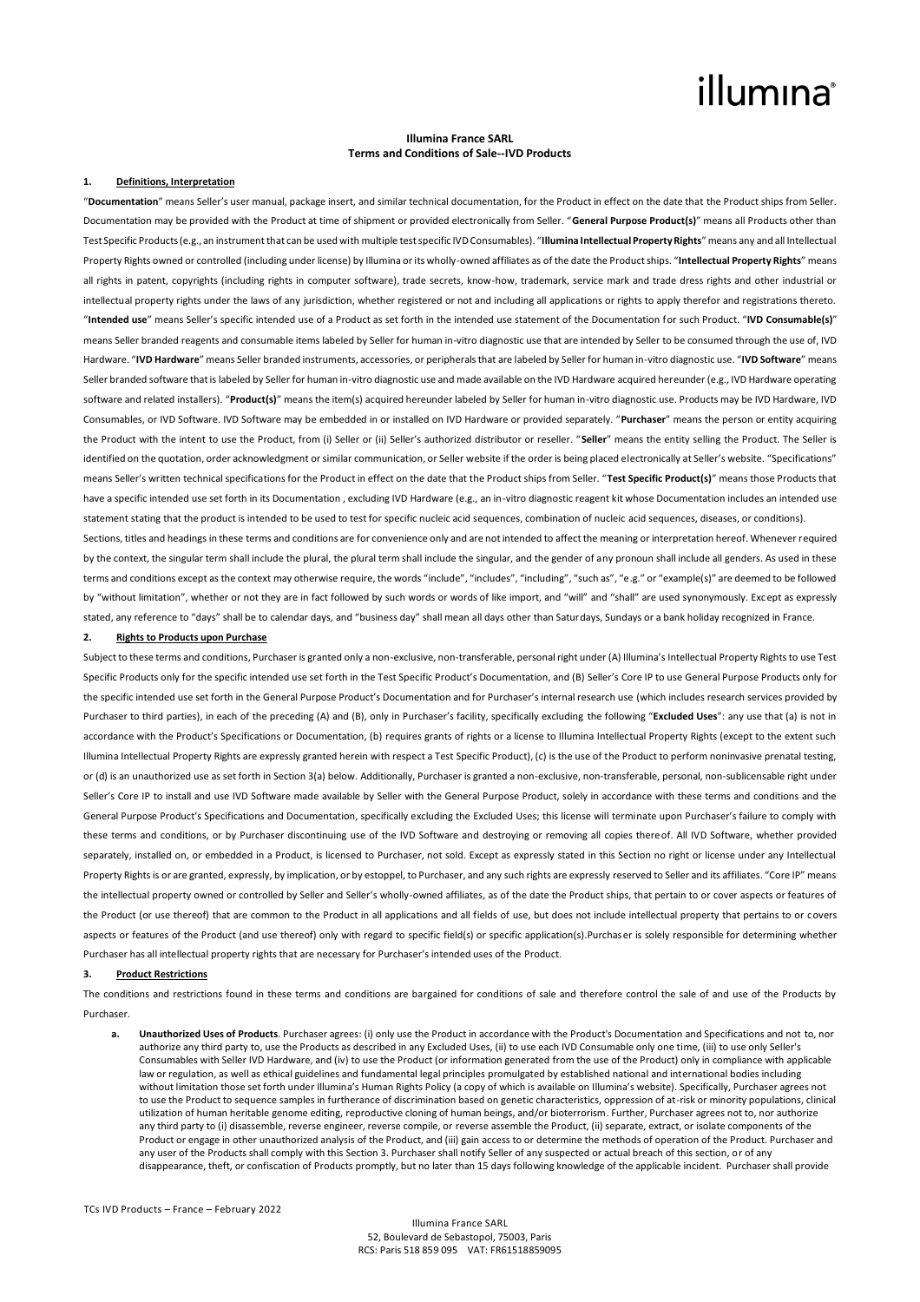### illumına

#### **Illumina France SARL Terms and Conditions of Sale--IVD Products**

#### **1. Definitions, Interpretation**

"**Documentation**" means Seller's user manual, package insert, and similar technical documentation, for the Product in effect on the date that the Product ships from Seller. Documentation may be provided with the Product at time of shipment or provided electronically from Seller. "**General Purpose Product(s)**" means all Products other than Test Specific Products (e.g., an instrument that can be used with multiple test specific IVD Consumables). "**Illumina Intellectual Property Rights**" means any and all Intellectual Property Rights owned or controlled (including under license) by Illumina or its wholly-owned affiliates as of the date the Product ships. "**Intellectual Property Rights**" means all rights in patent, copyrights (including rights in computer software), trade secrets, know-how, trademark, service mark and trade dress rights and other industrial or intellectual property rights under the laws of any jurisdiction, whether registered or not and including all applications or rights to apply therefor and registrations thereto. "**Intended use**" means Seller's specific intended use of a Product as set forth in the intended use statement of the Documentation for such Product. "**IVD Consumable(s)**" means Seller branded reagents and consumable items labeled by Seller for human in-vitro diagnostic use that are intended by Seller to be consumed through the use of, IVD Hardware. "**IVD Hardware**" means Seller branded instruments, accessories, or peripherals that are labeled by Seller for human in-vitro diagnostic use. "**IVD Software**" means Seller branded software that is labeled by Seller for human in-vitro diagnostic use and made available on the IVD Hardware acquired hereunder (e.g., IVD Hardware operating software and related installers). "**Product(s)**" means the item(s) acquired hereunder labeled by Seller for human in-vitro diagnostic use. Products may be IVD Hardware, IVD Consumables, or IVD Software. IVD Software may be embedded in or installed on IVD Hardware or provided separately. "**Purchaser**" means the person or entity acquiring the Product with the intent to use the Product, from (i) Seller or (ii) Seller's authorized distributor or reseller. "**Seller**" means the entity selling the Product. The Seller is identified on the quotation, order acknowledgment or similar communication, or Seller website if the order is being placed electronically at Seller's website. "Specifications" means Seller's written technical specifications for the Product in effect on the date that the Product ships from Seller. "**Test Specific Product(s)**" means those Products that have a specific intended use set forth in its Documentation, excluding IVD Hardware (e.g., an in-vitro diagnostic reagent kit whose Documentation includes an intended use statement stating that the product is intended to be used to test for specific nucleic acid sequences, combination of nucleic acid sequences, diseases, or conditions).

Sections, titles and headings in these terms and conditions are for convenience only and are not intended to affect the meaning or interpretation hereof. Whenever required by the context, the singular term shall include the plural, the plural term shall include the singular, and the gender of any pronoun shall include all genders. As used in these terms and conditions except as the context may otherwise require, the words "include", "includes", "including", "such as", "e.g." or "example(s)" are deemed to be followed by "without limitation", whether or not they are in fact followed by such words or words of like import, and "will" and "shall" are used synonymously. Except as expressly stated, any reference to "days" shall be to calendar days, and "business day" shall mean all days other than Saturdays, Sundays or a bank holiday recognized in France.

### **2. Rights to Products upon Purchase**

Subject to these terms and conditions, Purchaser is granted only a non-exclusive, non-transferable, personal right under (A) Illumina's Intellectual Property Rights to use Test Specific Products only for the specific intended use set forth in the Test Specific Product's Documentation, and (B) Seller's Core IP to use General Purpose Products only for the specific intended use set forth in the General Purpose Product's Documentation and for Purchaser's internal research use (which includes research services provided by Purchaser to third parties), in each of the preceding (A) and (B), only in Purchaser's facility, specifically excluding the following "**Excluded Uses**": any use that (a) is not in accordance with the Product's Specifications or Documentation, (b) requires grants of rights or a license to Illumina Intellectual Property Rights (except to the extent such Illumina Intellectual Property Rights are expressly granted herein with respect a Test Specific Product), (c) is the use of the Product to perform noninvasive prenatal testing, or (d) is an unauthorized use as set forth in Section 3(a) below. Additionally, Purchaser is granted a non-exclusive, non-transferable, personal, non-sublicensable right under Seller's Core IP to install and use IVD Software made available by Seller with the General Purpose Product, solely in accordance with these terms and conditions and the General Purpose Product's Specifications and Documentation, specifically excluding the Excluded Uses; this license will terminate upon Purchaser's failure to comply with these terms and conditions, or by Purchaser discontinuing use of the IVD Software and destroying or removing all copies thereof. All IVD Software, whether provided separately, installed on, or embedded in a Product, is licensed to Purchaser, not sold. Except as expressly stated in this Section no right or license under any Intellectual Property Rights is or are granted, expressly, by implication, or by estoppel, to Purchaser, and any such rights are expressly reserved to Seller and its affiliates. "Core IP" means the intellectual property owned or controlled by Seller and Seller's wholly-owned affiliates, as of the date the Product ships, that pertain to or cover aspects or features of the Product (or use thereof) that are common to the Product in all applications and all fields of use, but does not include intellectual property that pertains to or covers aspects or features of the Product (and use thereof) only with regard to specific field(s) or specific application(s). Purchaser is solely responsible for determining whether Purchaser has all intellectual property rights that are necessary for Purchaser's intended uses of the Product.

#### **3. Product Restrictions**

The conditions and restrictions found in these terms and conditions are bargained for conditions of sale and therefore control the sale of and use of the Products by Purchaser.

**a. Unauthorized Uses of Products**. Purchaser agrees: (i) only use the Product in accordance with the Product's Documentation and Specifications and not to, nor authorize any third party to, use the Products as described in any Excluded Uses, (ii) to use each IVD Consumable only one time, (iii) to use only Seller's Consumables with Seller IVD Hardware, and (iv) to use the Product (or information generated from the use of the Product) only in compliance with applicable law or regulation, as well as ethical guidelines and fundamental legal principles promulgated by established national and international bodies including without limitation those set forth under Illumina's Human Rights Policy (a copy of which is available on Illumina's website). Specifically, Purchaser agrees not to use the Product to sequence samples in furtherance of discrimination based on genetic characteristics, oppression of at-risk or minority populations, clinical utilization of human heritable genome editing, reproductive cloning of human beings, and/or bioterrorism. Further, Purchaser agrees not to, nor authorize any third party to (i) disassemble, reverse engineer, reverse compile, or reverse assemble the Product, (ii) separate, extract, or isolate components of the Product or engage in other unauthorized analysis of the Product, and (iii) gain access to or determine the methods of operation of the Product. Purchaser and any user of the Products shall comply with this Section 3. Purchaser shall notify Seller of any suspected or actual breach of this section, or of any disappearance, theft, or confiscation of Products promptly, but no later than 15 days following knowledge of the applicable incident. Purchaser shall provide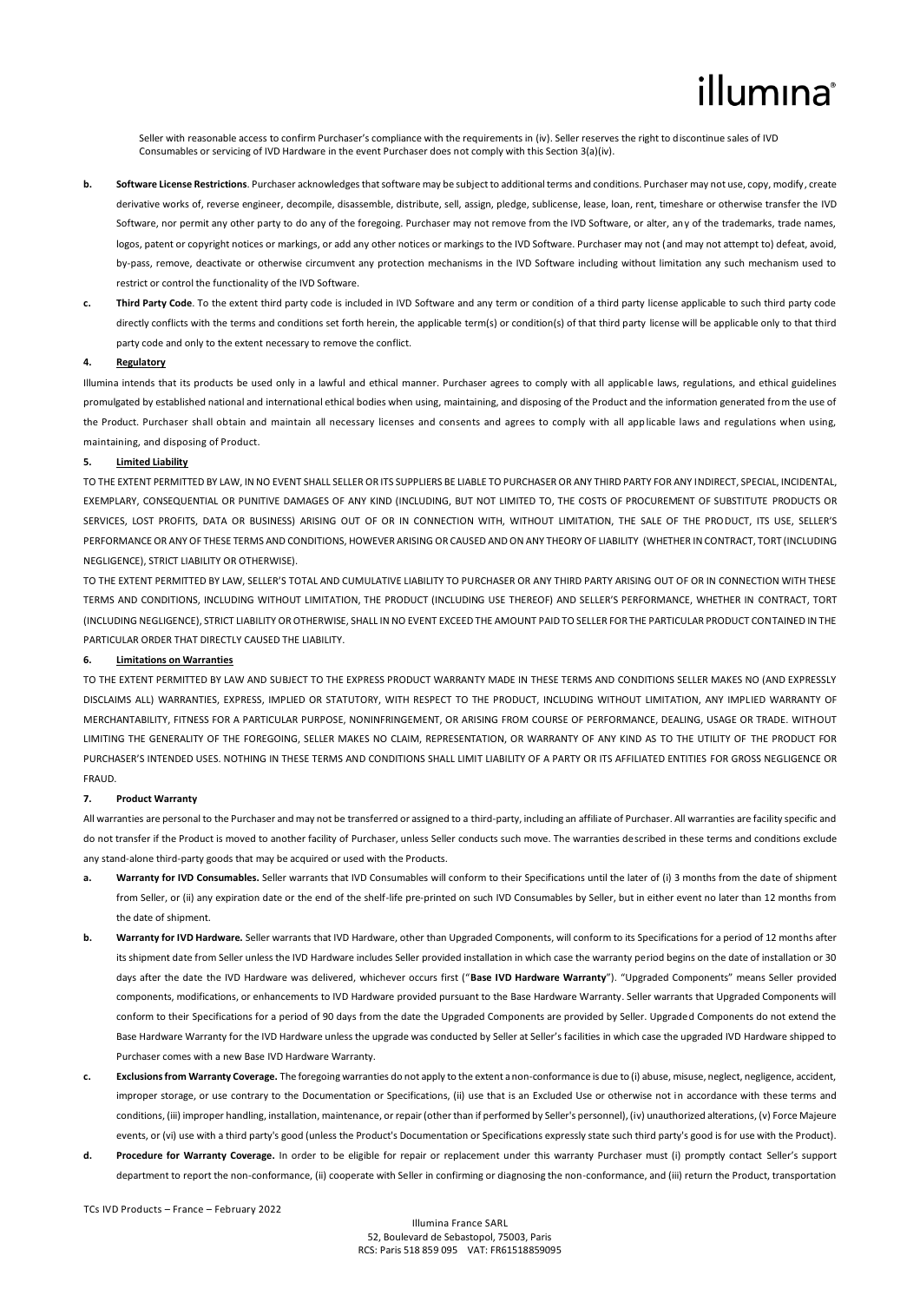## illumına

Seller with reasonable access to confirm Purchaser's compliance with the requirements in (iv). Seller reserves the right to discontinue sales of IVD Consumables or servicing of IVD Hardware in the event Purchaser does not comply with this Section 3(a)(iv).

- **b. Software License Restrictions**. Purchaser acknowledges that software may be subject to additional terms and conditions. Purchaser may not use, copy, modify, create derivative works of, reverse engineer, decompile, disassemble, distribute, sell, assign, pledge, sublicense, lease, loan, rent, timeshare or otherwise transfer the IVD Software, nor permit any other party to do any of the foregoing. Purchaser may not remove from the IVD Software, or alter, any of the trademarks, trade names, logos, patent or copyright notices or markings, or add any other notices or markings to the IVD Software. Purchaser may not (and may not attempt to) defeat, avoid, by-pass, remove, deactivate or otherwise circumvent any protection mechanisms in the IVD Software including without limitation any such mechanism used to restrict or control the functionality of the IVD Software.
- **c. Third Party Code**. To the extent third party code is included in IVD Software and any term or condition of a third party license applicable to such third party code directly conflicts with the terms and conditions set forth herein, the applicable term(s) or condition(s) of that third party license will be applicable only to that third party code and only to the extent necessary to remove the conflict.

#### **4. Regulatory**

Illumina intends that its products be used only in a lawful and ethical manner. Purchaser agrees to comply with all applicable laws, regulations, and ethical guidelines promulgated by established national and international ethical bodies when using, maintaining, and disposing of the Product and the information generated from the use of the Product. Purchaser shall obtain and maintain all necessary licenses and consents and agrees to comply with all applicable laws and regulations when using, maintaining, and disposing of Product.

### **5. Limited Liability**

TO THE EXTENT PERMITTED BY LAW, IN NO EVENT SHALL SELLER OR ITS SUPPLIERS BE LIABLE TO PURCHASER OR ANY THIRD PARTY FOR ANY INDIRECT, SPECIAL, INCIDENTAL, EXEMPLARY, CONSEQUENTIAL OR PUNITIVE DAMAGES OF ANY KIND (INCLUDING, BUT NOT LIMITED TO, THE COSTS OF PROCUREMENT OF SUBSTITUTE PRODUCTS OR SERVICES, LOST PROFITS, DATA OR BUSINESS) ARISING OUT OF OR IN CONNECTION WITH, WITHOUT LIMITATION, THE SALE OF THE PRODUCT, ITS USE, SELLER'S PERFORMANCE OR ANY OF THESE TERMS AND CONDITIONS, HOWEVER ARISING OR CAUSED AND ON ANY THEORY OF LIABILITY (WHETHER IN CONTRACT, TORT (INCLUDING NEGLIGENCE), STRICT LIABILITY OR OTHERWISE).

TO THE EXTENT PERMITTED BY LAW, SELLER'S TOTAL AND CUMULATIVE LIABILITY TO PURCHASER OR ANY THIRD PARTY ARISING OUT OF OR IN CONNECTION WITH THESE TERMS AND CONDITIONS, INCLUDING WITHOUT LIMITATION, THE PRODUCT (INCLUDING USE THEREOF) AND SELLER'S PERFORMANCE, WHETHER IN CONTRACT, TORT (INCLUDING NEGLIGENCE), STRICT LIABILITY OR OTHERWISE, SHALL IN NO EVENT EXCEED THE AMOUNT PAID TO SELLER FOR THE PARTICULAR PRODUCT CONTAINED IN THE PARTICULAR ORDER THAT DIRECTLY CAUSED THE LIABILITY.

### **6. Limitations on Warranties**

TO THE EXTENT PERMITTED BY LAW AND SUBJECT TO THE EXPRESS PRODUCT WARRANTY MADE IN THESE TERMS AND CONDITIONS SELLER MAKES NO (AND EXPRESSLY DISCLAIMS ALL) WARRANTIES, EXPRESS, IMPLIED OR STATUTORY, WITH RESPECT TO THE PRODUCT, INCLUDING WITHOUT LIMITATION, ANY IMPLIED WARRANTY OF MERCHANTABILITY, FITNESS FOR A PARTICULAR PURPOSE, NONINFRINGEMENT, OR ARISING FROM COURSE OF PERFORMANCE, DEALING, USAGE OR TRADE. WITHOUT LIMITING THE GENERALITY OF THE FOREGOING, SELLER MAKES NO CLAIM, REPRESENTATION, OR WARRANTY OF ANY KIND AS TO THE UTILITY OF THE PRODUCT FOR PURCHASER'S INTENDED USES. NOTHING IN THESE TERMS AND CONDITIONS SHALL LIMIT LIABILITY OF A PARTY OR ITS AFFILIATED ENTITIES FOR GROSS NEGLIGENCE OR FRAUD.

#### **7. Product Warranty**

All warranties are personal to the Purchaser and may not be transferred or assigned to a third-party, including an affiliate of Purchaser. All warranties are facility specific and do not transfer if the Product is moved to another facility of Purchaser, unless Seller conducts such move. The warranties described in these terms and conditions exclude any stand-alone third-party goods that may be acquired or used with the Products.

- **a. Warranty for IVD Consumables.** Seller warrants that IVD Consumables will conform to their Specifications until the later of (i) 3 months from the date of shipment from Seller, or (ii) any expiration date or the end of the shelf-life pre-printed on such IVD Consumables by Seller, but in either event no later than 12 months from the date of shinment
- **b. Warranty for IVD Hardware.** Seller warrants that IVD Hardware, other than Upgraded Components, will conform to its Specifications for a period of 12 months after its shipment date from Seller unless the IVD Hardware includes Seller provided installation in which case the warranty period begins on the date of installation or 30 days after the date the IVD Hardware was delivered, whichever occurs first ("**Base IVD Hardware Warranty**"). "Upgraded Components" means Seller provided components, modifications, or enhancements to IVD Hardware provided pursuant to the Base Hardware Warranty. Seller warrants that Upgraded Components will conform to their Specifications for a period of 90 days from the date the Upgraded Components are provided by Seller. Upgraded Components do not extend the Base Hardware Warranty for the IVD Hardware unless the upgrade was conducted by Seller at Seller's facilities in which case the upgraded IVD Hardware shipped to Purchaser comes with a new Base IVD Hardware Warranty.
- **c. Exclusions from Warranty Coverage.** The foregoing warranties do not apply to the extent a non-conformance is due to (i) abuse, misuse, neglect, negligence, accident, improper storage, or use contrary to the Documentation or Specifications, (ii) use that is an Excluded Use or otherwise not in accordance with these terms and conditions, (iii) improper handling, installation, maintenance, or repair (other than if performed by Seller's personnel), (iv) unauthorized alterations, (v) Force Majeure events, or (vi) use with a third party's good (unless the Product's Documentation or Specifications expressly state such third party's good is for use with the Product).
- **d. Procedure for Warranty Coverage.** In order to be eligible for repair or replacement under this warranty Purchaser must (i) promptly contact Seller's support department to report the non-conformance, (ii) cooperate with Seller in confirming or diagnosing the non-conformance, and (iii) return the Product, transportation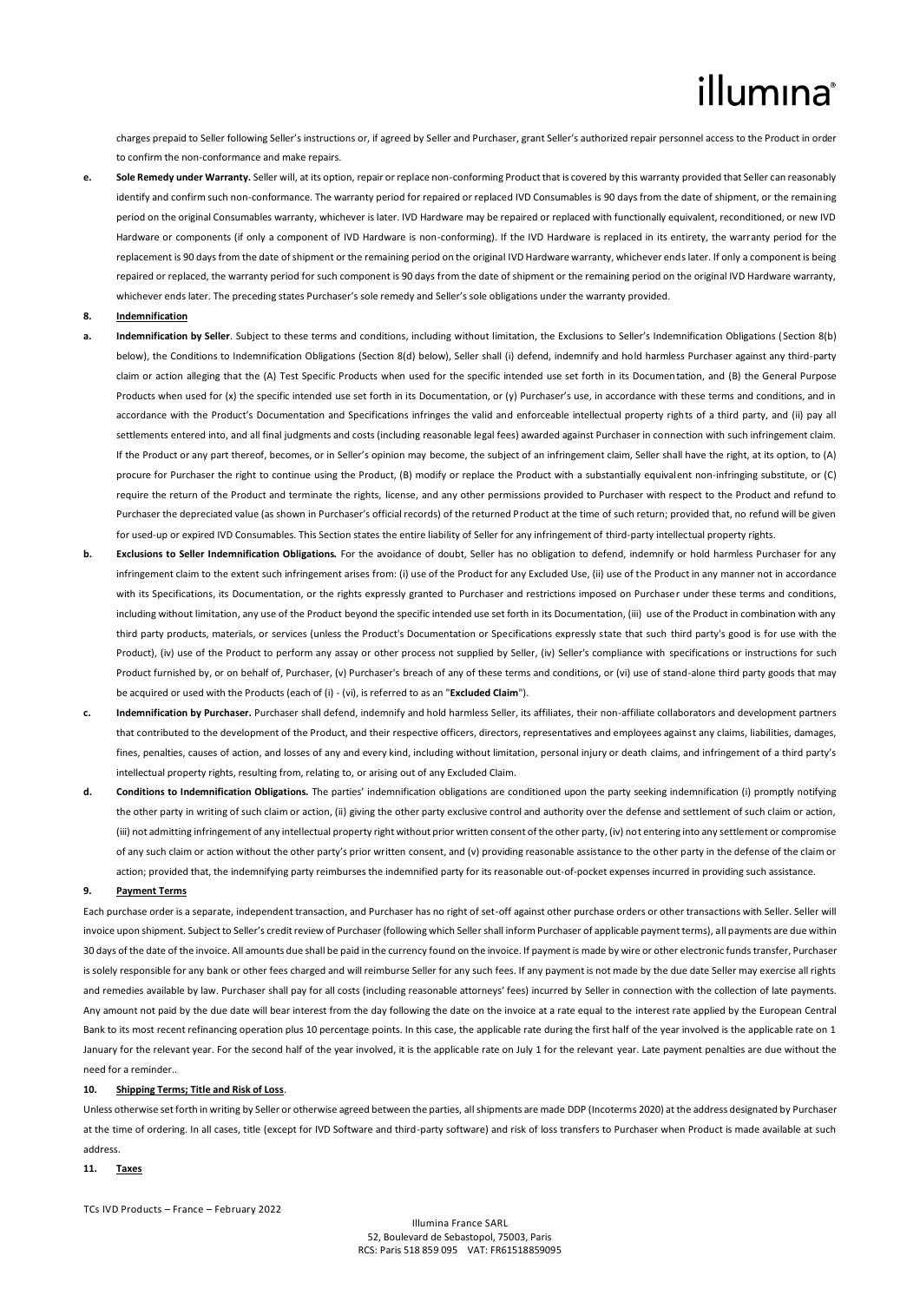# illumina®

charges prepaid to Seller following Seller's instructions or, if agreed by Seller and Purchaser, grant Seller's authorized repair personnel access to the Product in order to confirm the non-conformance and make repairs.

**e. Sole Remedy under Warranty.** Seller will, at its option, repair or replace non-conforming Product that is covered by this warranty provided that Seller can reasonably identify and confirm such non-conformance. The warranty period for repaired or replaced IVD Consumables is 90 days from the date of shipment, or the remaining period on the original Consumables warranty, whichever is later. IVD Hardware may be repaired or replaced with functionally equivalent, reconditioned, or new IVD Hardware or components (if only a component of IVD Hardware is non-conforming). If the IVD Hardware is replaced in its entirety, the warranty period for the replacement is 90 days from the date of shipment or the remaining period on the original IVD Hardware warranty, whichever ends later. If only a component is being repaired or replaced, the warranty period for such component is 90 days from the date of shipment or the remaining period on the original IVD Hardware warranty, whichever ends later. The preceding states Purchaser's sole remedy and Seller's sole obligations under the warranty provided.

#### **8. Indemnification**

- **a. Indemnification by Seller**. Subject to these terms and conditions, including without limitation, the Exclusions to Seller's Indemnification Obligations (Section 8(b) below), the Conditions to Indemnification Obligations (Section 8(d) below), Seller shall (i) defend, indemnify and hold harmless Purchaser against any third-party claim or action alleging that the (A) Test Specific Products when used for the specific intended use set forth in its Documentation, and (B) the General Purpose Products when used for (x) the specific intended use set forth in its Documentation, or (y) Purchaser's use, in accordance with these terms and conditions, and in accordance with the Product's Documentation and Specifications infringes the valid and enforceable intellectual property rights of a third party, and (ii) pay all settlements entered into, and all final judgments and costs (including reasonable legal fees) awarded against Purchaser in connection with such infringement claim. If the Product or any part thereof, becomes, or in Seller's opinion may become, the subject of an infringement claim, Seller shall have the right, at its option, to (A) procure for Purchaser the right to continue using the Product, (B) modify or replace the Product with a substantially equivalent non-infringing substitute, or (C) require the return of the Product and terminate the rights, license, and any other permissions provided to Purchaser with respect to the Product and refund to Purchaser the depreciated value (as shown in Purchaser's official records) of the returned Product at the time of such return; provided that, no refund will be given for used-up or expired IVD Consumables. This Section states the entire liability of Seller for any infringement of third-party intellectual property rights.
- **b. Exclusions to Seller Indemnification Obligations.** For the avoidance of doubt, Seller has no obligation to defend, indemnify or hold harmless Purchaser for any infringement claim to the extent such infringement arises from: (i) use of the Product for any Excluded Use, (ii) use of the Product in any manner not in accordance with its Specifications, its Documentation, or the rights expressly granted to Purchaser and restrictions imposed on Purchaser under these terms and conditions, including without limitation, any use of the Product beyond the specific intended use set forth in its Documentation, (iii) use of the Product in combination with any third party products, materials, or services (unless the Product's Documentation or Specifications expressly state that such third party's good is for use with the Product), (iv) use of the Product to perform any assay or other process not supplied by Seller, (iv) Seller's compliance with specifications or instructions for such Product furnished by, or on behalf of, Purchaser, (v) Purchaser's breach of any of these terms and conditions, or (vi) use of stand-alone third party goods that may be acquired or used with the Products (each of (i) - (vi), is referred to as an "**Excluded Claim**").
- **c. Indemnification by Purchaser.** Purchaser shall defend, indemnify and hold harmless Seller, its affiliates, their non-affiliate collaborators and development partners that contributed to the development of the Product, and their respective officers, directors, representatives and employees against any claims, liabilities, damages, fines, penalties, causes of action, and losses of any and every kind, including without limitation, personal injury or death claims, and infringement of a third party's intellectual property rights, resulting from, relating to, or arising out of any Excluded Claim.
- **d. Conditions to Indemnification Obligations.** The parties' indemnification obligations are conditioned upon the party seeking indemnification (i) promptly notifying the other party in writing of such claim or action, (ii) giving the other party exclusive control and authority over the defense and settlement of such claim or action, (iii) not admitting infringement of any intellectual property right without prior written consent of the other party, (iv) not entering into any settlement or compromise of any such claim or action without the other party's prior written consent, and (v) providing reasonable assistance to the other party in the defense of the claim or action; provided that, the indemnifying party reimburses the indemnified party for its reasonable out-of-pocket expenses incurred in providing such assistance.

#### **9. Payment Terms**

Each purchase order is a separate, independent transaction, and Purchaser has no right of set-off against other purchase orders or other transactions with Seller. Seller will invoice upon shipment. Subject to Seller's credit review of Purchaser (following which Seller shall inform Purchaser of applicable payment terms), all payments are due within 30 days of the date of the invoice. All amounts due shall be paid in the currency found on the invoice. If payment is made by wire or other electronic funds transfer, Purchaser is solely responsible for any bank or other fees charged and will reimburse Seller for any such fees. If any payment is not made by the due date Seller may exercise all rights and remedies available by law. Purchaser shall pay for all costs (including reasonable attorneys' fees) incurred by Seller in connection with the collection of late payments. Any amount not paid by the due date will bear interest from the day following the date on the invoice at a rate equal to the interest rate applied by the European Central Bank to its most recent refinancing operation plus 10 percentage points. In this case, the applicable rate during the first half of the year involved is the applicable rate on 1 January for the relevant year. For the second half of the year involved, it is the applicable rate on July 1 for the relevant year. Late payment penalties are due without the need for a reminder..

#### **10. Shipping Terms; Title and Risk of Loss**.

Unless otherwise set forth in writing by Seller or otherwise agreed between the parties, all shipments are made DDP (Incoterms 2020) at the address designated by Purchaser at the time of ordering. In all cases, title (except for IVD Software and third-party software) and risk of loss transfers to Purchaser when Product is made available at such address.

**11. Taxes**

TCs IVD Products – France – February 2022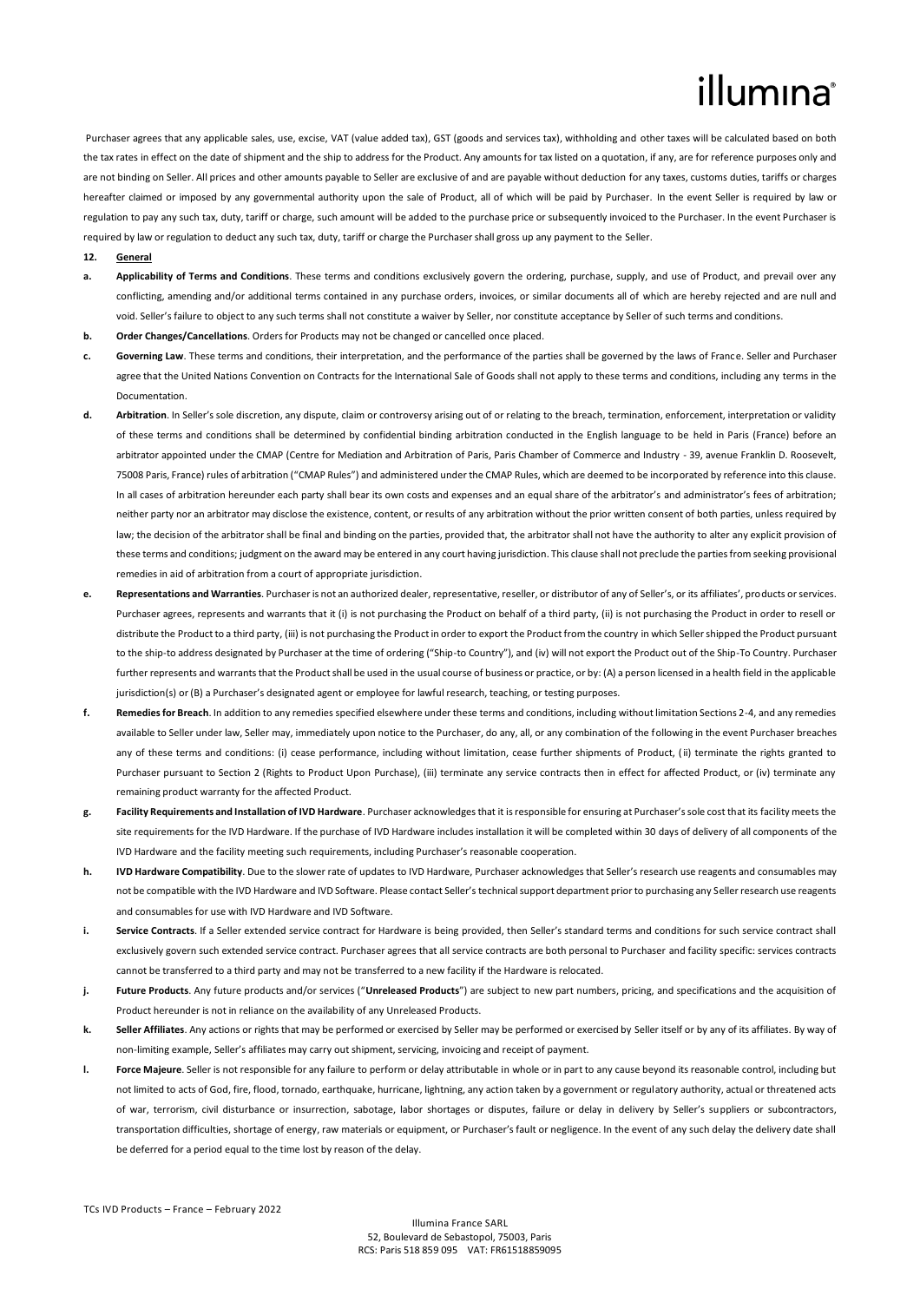## illumina

Purchaser agrees that any applicable sales, use, excise, VAT (value added tax), GST (goods and services tax), withholding and other taxes will be calculated based on both the tax rates in effect on the date of shipment and the ship to address for the Product. Any amounts for tax listed on a quotation, if any, are for reference purposes only and are not binding on Seller. All prices and other amounts payable to Seller are exclusive of and are payable without deduction for any taxes, customs duties, tariffs or charges hereafter claimed or imposed by any governmental authority upon the sale of Product, all of which will be paid by Purchaser. In the event Seller is required by law or regulation to pay any such tax, duty, tariff or charge, such amount will be added to the purchase price or subsequently invoiced to the Purchaser. In the event Purchaser is required by law or regulation to deduct any such tax, duty, tariff or charge the Purchaser shall gross up any payment to the Seller.

- **12. General**
- **a. Applicability of Terms and Conditions**. These terms and conditions exclusively govern the ordering, purchase, supply, and use of Product, and prevail over any conflicting, amending and/or additional terms contained in any purchase orders, invoices, or similar documents all of which are hereby rejected and are null and void. Seller's failure to object to any such terms shall not constitute a waiver by Seller, nor constitute acceptance by Seller of such terms and conditions.
- **b. Order Changes/Cancellations**. Orders for Products may not be changed or cancelled once placed.
- **c. Governing Law**. These terms and conditions, their interpretation, and the performance of the parties shall be governed by the laws of France. Seller and Purchaser agree that the United Nations Convention on Contracts for the International Sale of Goods shall not apply to these terms and conditions, including any terms in the Documentation.
- **d. Arbitration**. In Seller's sole discretion, any dispute, claim or controversy arising out of or relating to the breach, termination, enforcement, interpretation or validity of these terms and conditions shall be determined by confidential binding arbitration conducted in the English language to be held in Paris (France) before an arbitrator appointed under the CMAP (Centre for Mediation and Arbitration of Paris, Paris Chamber of Commerce and Industry - 39, avenue Franklin D. Roosevelt, 75008 Paris, France) rules of arbitration ("CMAP Rules") and administered under the CMAP Rules, which are deemed to be incorporated by reference into this clause. In all cases of arbitration hereunder each party shall bear its own costs and expenses and an equal share of the arbitrator's and administrator's fees of arbitration; neither party nor an arbitrator may disclose the existence, content, or results of any arbitration without the prior written consent of both parties, unless required by law; the decision of the arbitrator shall be final and binding on the parties, provided that, the arbitrator shall not have the authority to alter any explicit provision of these terms and conditions; judgment on the award may be entered in any court having jurisdiction. This clause shall not preclude the parties from seeking provisional remedies in aid of arbitration from a court of appropriate jurisdiction.
- Representations and Warranties. Purchaser is not an authorized dealer, representative, reseller, or distributor of any of Seller's, or its affiliates', products or services. Purchaser agrees, represents and warrants that it (i) is not purchasing the Product on behalf of a third party, (ii) is not purchasing the Product in order to resell or distribute the Product to a third party, (iii) is not purchasing the Product in order to export the Product from the country in which Seller shipped the Product pursuant to the ship-to address designated by Purchaser at the time of ordering ("Ship-to Country"), and (iv) will not export the Product out of the Ship-To Country. Purchaser further represents and warrants that the Product shall be used in the usual course of business or practice, or by: (A) a person licensed in a health field in the applicable jurisdiction(s) or (B) a Purchaser's designated agent or employee for lawful research, teaching, or testing purposes.
- **f. Remedies for Breach**. In addition to any remedies specified elsewhere under these terms and conditions, including without limitation Sections 2-4, and any remedies available to Seller under law, Seller may, immediately upon notice to the Purchaser, do any, all, or any combination of the following in the event Purchaser breaches any of these terms and conditions: (i) cease performance, including without limitation, cease further shipments of Product, (ii) terminate the rights granted to Purchaser pursuant to Section 2 (Rights to Product Upon Purchase), (iii) terminate any service contracts then in effect for affected Product, or (iv) terminate any remaining product warranty for the affected Product.
- **g. Facility Requirements and Installation of IVD Hardware**. Purchaser acknowledges that it is responsible for ensuring at Purchaser's sole cost that its facility meets the site requirements for the IVD Hardware. If the purchase of IVD Hardware includes installation it will be completed within 30 days of delivery of all components of the IVD Hardware and the facility meeting such requirements, including Purchaser's reasonable cooperation.
- **h. IVD Hardware Compatibility**. Due to the slower rate of updates to IVD Hardware, Purchaser acknowledges that Seller's research use reagents and consumables may not be compatible with the IVD Hardware and IVD Software. Please contact Seller's technical support department prior to purchasing any Seller research use reagents and consumables for use with IVD Hardware and IVD Software.
- **i.** Service Contracts. If a Seller extended service contract for Hardware is being provided, then Seller's standard terms and conditions for such service contract shall exclusively govern such extended service contract. Purchaser agrees that all service contracts are both personal to Purchaser and facility specific: services contracts cannot be transferred to a third party and may not be transferred to a new facility if the Hardware is relocated.
- **j. Future Products**. Any future products and/or services ("**Unreleased Products**") are subject to new part numbers, pricing, and specifications and the acquisition of Product hereunder is not in reliance on the availability of any Unreleased Products.
- **k. Seller Affiliates**. Any actions or rights that may be performed or exercised by Seller may be performed or exercised by Seller itself or by any of its affiliates. By way of non-limiting example, Seller's affiliates may carry out shipment, servicing, invoicing and receipt of payment.
- **l. Force Majeure**. Seller is not responsible for any failure to perform or delay attributable in whole or in part to any cause beyond its reasonable control, including but not limited to acts of God, fire, flood, tornado, earthquake, hurricane, lightning, any action taken by a government or regulatory authority, actual or threatened acts of war, terrorism, civil disturbance or insurrection, sabotage, labor shortages or disputes, failure or delay in delivery by Seller's suppliers or subcontractors, transportation difficulties, shortage of energy, raw materials or equipment, or Purchaser's fault or negligence. In the event of any such delay the delivery date shall be deferred for a period equal to the time lost by reason of the delay.